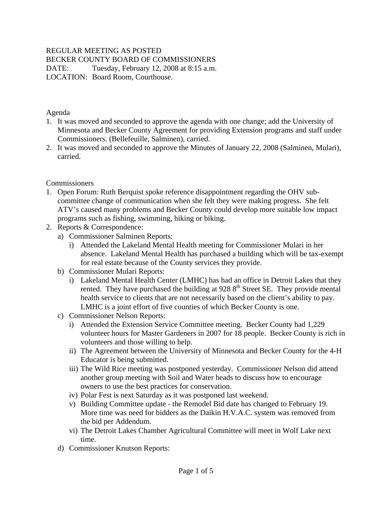## REGULAR MEETING AS POSTED

BECKER COUNTY BOARD OF COMMISSIONERS

DATE: Tuesday, February 12, 2008 at 8:15 a.m. LOCATION: Board Room, Courthouse.

Agenda

- 1. It was moved and seconded to approve the agenda with one change; add the University of Minnesota and Becker County Agreement for providing Extension programs and staff under Commissioners. (Bellefeuille, Salminen), carried.
- 2. It was moved and seconded to approve the Minutes of January 22, 2008 (Salminen, Mulari), carried.

#### **Commissioners**

- 1. Open Forum: Ruth Berquist spoke reference disappointment regarding the OHV subcommittee change of communication when she felt they were making progress. She felt ATV's caused many problems and Becker County could develop more suitable low impact programs such as fishing, swimming, hiking or biking.
- 2. Reports & Correspondence:
	- a) Commissioner Salminen Reports:
		- i) Attended the Lakeland Mental Health meeting for Commissioner Mulari in her absence. Lakeland Mental Health has purchased a building which will be tax-exempt for real estate because of the County services they provide.
	- b) Commissioner Mulari Reports:
		- i) Lakeland Mental Health Center (LMHC) has had an office in Detroit Lakes that they rented. They have purchased the building at  $9288^{th}$  Street SE. They provide mental health service to clients that are not necessarily based on the client's ability to pay. LMHC is a joint effort of five counties of which Becker County is one.
	- c) Commissioner Nelson Reports:
		- i) Attended the Extension Service Committee meeting. Becker County had 1,229 volunteer hours for Master Gardeners in 2007 for 18 people. Becker County is rich in volunteers and those willing to help.
		- ii) The Agreement between the University of Minnesota and Becker County for the 4-H Educator is being submitted.
		- iii) The Wild Rice meeting was postponed yesterday. Commissioner Nelson did attend another group meeting with Soil and Water heads to discuss how to encourage owners to use the best practices for conservation.
		- iv) Polar Fest is next Saturday as it was postponed last weekend.
		- v) Building Committee update the Remodel Bid date has changed to February 19. More time was need for bidders as the Daikin H.V.A.C. system was removed from the bid per Addendum.
		- vi) The Detroit Lakes Chamber Agricultural Committee will meet in Wolf Lake next time.
	- d) Commissioner Knutson Reports: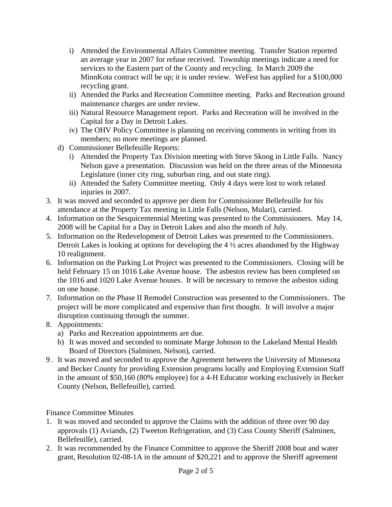- i) Attended the Environmental Affairs Committee meeting. Transfer Station reported an average year in 2007 for refuse received. Township meetings indicate a need for services to the Eastern part of the County and recycling. In March 2009 the MinnKota contract will be up; it is under review. WeFest has applied for a \$100,000 recycling grant.
- ii) Attended the Parks and Recreation Committee meeting. Parks and Recreation ground maintenance charges are under review.
- iii) Natural Resource Management report. Parks and Recreation will be involved in the Capital for a Day in Detroit Lakes.
- iv) The OHV Policy Committee is planning on receiving comments in writing from its members; no more meetings are planned.
- d) Commissioner Bellefeuille Reports:
	- i) Attended the Property Tax Division meeting with Steve Skoog in Little Falls. Nancy Nelson gave a presentation. Discussion was held on the three areas of the Minnesota Legislature (inner city ring, suburban ring, and out state ring).
	- ii) Attended the Safety Committee meeting. Only 4 days were lost to work related injuries in 2007.
- 3. It was moved and seconded to approve per diem for Commissioner Bellefeuille for his attendance at the Property Tax meeting in Little Falls (Nelson, Mulari), carried.
- 4. Information on the Sesquicentennial Meeting was presented to the Commissioners. May 14, 2008 will be Capital for a Day in Detroit Lakes and also the month of July.
- 5. Information on the Redevelopment of Detroit Lakes was presented to the Commissioners. Detroit Lakes is looking at options for developing the 4 ½ acres abandoned by the Highway 10 realignment.
- 6. Information on the Parking Lot Project was presented to the Commissioners. Closing will be held February 15 on 1016 Lake Avenue house. The asbestos review has been completed on the 1016 and 1020 Lake Avenue houses. It will be necessary to remove the asbestos siding on one house.
- 7. Information on the Phase II Remodel Construction was presented to the Commissioners. The project will be more complicated and expensive than first thought. It will involve a major disruption continuing through the summer.
- 8. Appointments:
	- a) Parks and Recreation appointments are due.
	- b) It was moved and seconded to nominate Marge Johnson to the Lakeland Mental Health Board of Directors (Salminen, Nelson), carried.
- 9 . It was moved and seconded to approve the Agreement between the University of Minnesota and Becker County for providing Extension programs locally and Employing Extension Staff in the amount of \$50,160 (80% employee) for a 4-H Educator working exclusively in Becker County (Nelson, Bellefeuille), carried.

Finance Committee Minutes

- 1. It was moved and seconded to approve the Claims with the addition of three over 90 day approvals (1) Aviands, (2) Tweeton Refrigeration, and (3) Cass County Sheriff (Salminen, Bellefeuille), carried.
- 2. It was recommended by the Finance Committee to approve the Sheriff 2008 boat and water grant, Resolution 02-08-1A in the amount of \$20,221 and to approve the Sheriff agreement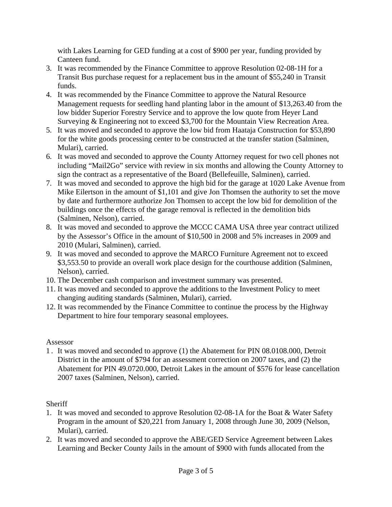with Lakes Learning for GED funding at a cost of \$900 per year, funding provided by Canteen fund.

- 3. It was recommended by the Finance Committee to approve Resolution 02-08-1H for a Transit Bus purchase request for a replacement bus in the amount of \$55,240 in Transit funds.
- 4. It was recommended by the Finance Committee to approve the Natural Resource Management requests for seedling hand planting labor in the amount of \$13,263.40 from the low bidder Superior Forestry Service and to approve the low quote from Heyer Land Surveying & Engineering not to exceed \$3,700 for the Mountain View Recreation Area.
- 5. It was moved and seconded to approve the low bid from Haataja Construction for \$53,890 for the white goods processing center to be constructed at the transfer station (Salminen, Mulari), carried.
- 6. It was moved and seconded to approve the County Attorney request for two cell phones not including "Mail2Go" service with review in six months and allowing the County Attorney to sign the contract as a representative of the Board (Bellefeuille, Salminen), carried.
- 7. It was moved and seconded to approve the high bid for the garage at 1020 Lake Avenue from Mike Eilertson in the amount of \$1,101 and give Jon Thomsen the authority to set the move by date and furthermore authorize Jon Thomsen to accept the low bid for demolition of the buildings once the effects of the garage removal is reflected in the demolition bids (Salminen, Nelson), carried.
- 8. It was moved and seconded to approve the MCCC CAMA USA three year contract utilized by the Assessor's Office in the amount of \$10,500 in 2008 and 5% increases in 2009 and 2010 (Mulari, Salminen), carried.
- 9. It was moved and seconded to approve the MARCO Furniture Agreement not to exceed \$3,553.50 to provide an overall work place design for the courthouse addition (Salminen, Nelson), carried.
- 10. The December cash comparison and investment summary was presented.
- 11. It was moved and seconded to approve the additions to the Investment Policy to meet changing auditing standards (Salminen, Mulari), carried.
- 12. It was recommended by the Finance Committee to continue the process by the Highway Department to hire four temporary seasonal employees.

# Assessor

1 . It was moved and seconded to approve (1) the Abatement for PIN 08.0108.000, Detroit District in the amount of \$794 for an assessment correction on 2007 taxes, and (2) the Abatement for PIN 49.0720.000, Detroit Lakes in the amount of \$576 for lease cancellation 2007 taxes (Salminen, Nelson), carried.

# **Sheriff**

- 1. It was moved and seconded to approve Resolution 02-08-1A for the Boat & Water Safety Program in the amount of \$20,221 from January 1, 2008 through June 30, 2009 (Nelson, Mulari), carried.
- 2. It was moved and seconded to approve the ABE/GED Service Agreement between Lakes Learning and Becker County Jails in the amount of \$900 with funds allocated from the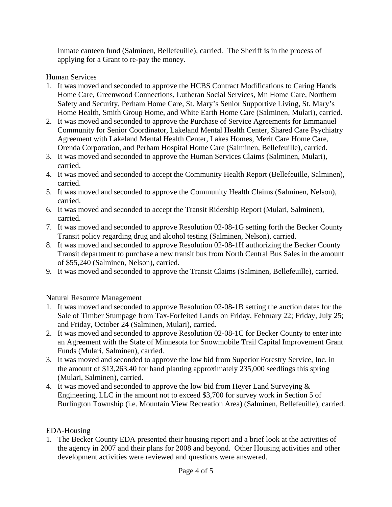Inmate canteen fund (Salminen, Bellefeuille), carried. The Sheriff is in the process of applying for a Grant to re-pay the money.

#### Human Services

- 1. It was moved and seconded to approve the HCBS Contract Modifications to Caring Hands Home Care, Greenwood Connections, Lutheran Social Services, Mn Home Care, Northern Safety and Security, Perham Home Care, St. Mary's Senior Supportive Living, St. Mary's Home Health, Smith Group Home, and White Earth Home Care (Salminen, Mulari), carried.
- 2. It was moved and seconded to approve the Purchase of Service Agreements for Emmanuel Community for Senior Coordinator, Lakeland Mental Health Center, Shared Care Psychiatry Agreement with Lakeland Mental Health Center, Lakes Homes, Merit Care Home Care, Orenda Corporation, and Perham Hospital Home Care (Salminen, Bellefeuille), carried.
- 3. It was moved and seconded to approve the Human Services Claims (Salminen, Mulari), carried.
- 4. It was moved and seconded to accept the Community Health Report (Bellefeuille, Salminen), carried.
- 5. It was moved and seconded to approve the Community Health Claims (Salminen, Nelson), carried.
- 6. It was moved and seconded to accept the Transit Ridership Report (Mulari, Salminen), carried.
- 7. It was moved and seconded to approve Resolution 02-08-1G setting forth the Becker County Transit policy regarding drug and alcohol testing (Salminen, Nelson), carried.
- 8. It was moved and seconded to approve Resolution 02-08-1H authorizing the Becker County Transit department to purchase a new transit bus from North Central Bus Sales in the amount of \$55,240 (Salminen, Nelson), carried.
- 9. It was moved and seconded to approve the Transit Claims (Salminen, Bellefeuille), carried.

Natural Resource Management

- 1. It was moved and seconded to approve Resolution 02-08-1B setting the auction dates for the Sale of Timber Stumpage from Tax-Forfeited Lands on Friday, February 22; Friday, July 25; and Friday, October 24 (Salminen, Mulari), carried.
- 2. It was moved and seconded to approve Resolution 02-08-1C for Becker County to enter into an Agreement with the State of Minnesota for Snowmobile Trail Capital Improvement Grant Funds (Mulari, Salminen), carried.
- 3. It was moved and seconded to approve the low bid from Superior Forestry Service, Inc. in the amount of \$13,263.40 for hand planting approximately 235,000 seedlings this spring (Mulari, Salminen), carried.
- 4. It was moved and seconded to approve the low bid from Heyer Land Surveying & Engineering, LLC in the amount not to exceed \$3,700 for survey work in Section 5 of Burlington Township (i.e. Mountain View Recreation Area) (Salminen, Bellefeuille), carried.

### EDA-Housing

1. The Becker County EDA presented their housing report and a brief look at the activities of the agency in 2007 and their plans for 2008 and beyond. Other Housing activities and other development activities were reviewed and questions were answered.